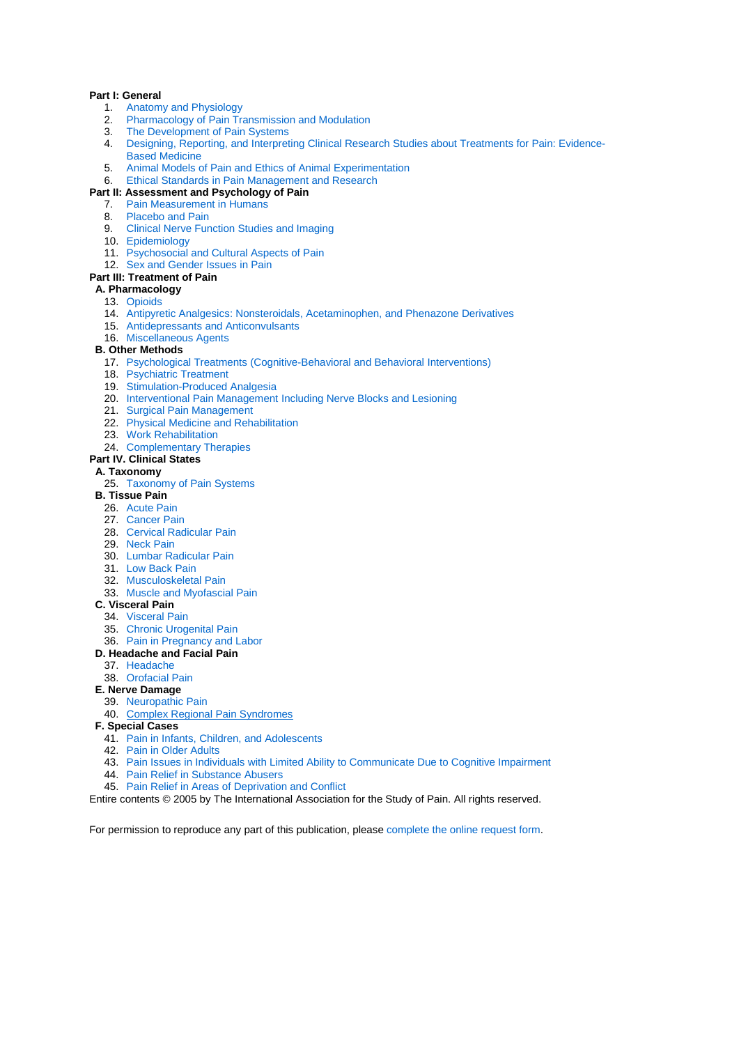#### **Part I: General**

- 1. [Anatomy and Physiology](http://www.iasp-pain.org/AM/Template.cfm?Section=IASP_Press_Books2&Template=/CM/ContentDisplay.cfm&ContentID=1959)
- [Pharmacology of Pain Transmission and Modulation](http://www.iasp-pain.org/AM/Template.cfm?Section=IASP_Press_Books2&Template=/CM/ContentDisplay.cfm&ContentID=1960) 2. Pharmacology or Hammacology of Pain Systems<br>3. [The Development of Pain Systems](http://www.iasp-pain.org/AM/Template.cfm?Section=IASP_Press_Books2&Template=/CM/ContentDisplay.cfm&ContentID=1966)
- 
- 4. [Designing, Reporting, and Interpreting Clinical Research Studies about Treatments for Pain: Evidence-](http://www.iasp-pain.org/AM/Template.cfm?Section=IASP_Press_Books2&Template=/CM/ContentDisplay.cfm&ContentID=1961)[Based Medicine](http://www.iasp-pain.org/AM/Template.cfm?Section=IASP_Press_Books2&Template=/CM/ContentDisplay.cfm&ContentID=1961)
- 5. Animal Models [of Pain and Ethics of Animal Experimentation](http://www.iasp-pain.org/AM/Template.cfm?Section=IASP_Press_Books2&Template=/CM/ContentDisplay.cfm&ContentID=1968)
- 6. [Ethical Standards in Pain Management and Research](http://www.iasp-pain.org/AM/Template.cfm?Section=IASP_Press_Books2&Template=/CM/ContentDisplay.cfm&ContentID=1971) **Part II: Assessment and Psychology of Pain**

# 7. [Pain Measurement in Humans](http://www.iasp-pain.org/AM/Template.cfm?Section=IASP_Press_Books2&Template=/CM/ContentDisplay.cfm&ContentID=1973)

- 8. [Placebo and Pain](http://www.iasp-pain.org/AM/Template.cfm?Section=IASP_Press_Books2&Template=/CM/ContentDisplay.cfm&ContentID=1997)
- 9. [Clinical Nerve Function Studies and Imaging](http://www.iasp-pain.org/AM/Template.cfm?Section=IASP_Press_Books2&Template=/CM/ContentDisplay.cfm&ContentID=1975)
- 10. [Epidemiology](http://www.iasp-pain.org/AM/Template.cfm?Section=IASP_Press_Books2&Template=/CM/ContentDisplay.cfm&ContentID=1976)
- 11. [Psychosocial and Cultural Aspects of Pain](http://www.iasp-pain.org/AM/Template.cfm?Section=IASP_Press_Books2&Template=/CM/ContentDisplay.cfm&ContentID=1977)
- 12. [Sex and Gender Issues in Pain](http://www.iasp-pain.org/AM/Template.cfm?Section=IASP_Press_Books2&Template=/CM/ContentDisplay.cfm&ContentID=1978)
- **Part III: Treatment of Pain**

### **A. Pharmacology**

- 13. [Opioids](http://www.iasp-pain.org/AM/Template.cfm?Section=IASP_Press_Books2&Template=/CM/ContentDisplay.cfm&ContentID=1979)
- 14. [Antipyretic Analgesics: Nonsteroidals, Acetaminophen, and Phenazone Derivatives](http://www.iasp-pain.org/AM/Template.cfm?Section=IASP_Press_Books2&Template=/CM/ContentDisplay.cfm&ContentID=1980)
- 15. [Antidepressants and Anticonvulsants](http://www.iasp-pain.org/AM/Template.cfm?Section=IASP_Press_Books2&Template=/CM/ContentDisplay.cfm&ContentID=1981)
- 16. [Miscellaneous Agents](http://www.iasp-pain.org/AM/Template.cfm?Section=IASP_Press_Books2&Template=/CM/ContentDisplay.cfm&ContentID=1982)

#### **B. Other Methods**

- 17. [Psychological Treatments \(Cognitive-Behavioral and Behavioral Interventions\)](http://www.iasp-pain.org/AM/Template.cfm?Section=IASP_Press_Books2&Template=/CM/ContentDisplay.cfm&ContentID=1983)
- 18. [Psychiatric Treatment](http://www.iasp-pain.org/AM/Template.cfm?Section=IASP_Press_Books2&Template=/CM/ContentDisplay.cfm&ContentID=1984)
- 19. [Stimulation-Produced Analgesia](http://www.iasp-pain.org/AM/Template.cfm?Section=IASP_Press_Books2&Template=/CM/ContentDisplay.cfm&ContentID=1985)
- 20. [Interventional Pain Management Including Nerve Blocks and Lesioning](http://www.iasp-pain.org/AM/Template.cfm?Section=IASP_Press_Books2&Template=/CM/ContentDisplay.cfm&ContentID=1986)
- 21. [Surgical Pain Management](http://www.iasp-pain.org/AM/Template.cfm?Section=IASP_Press_Books2&Template=/CM/ContentDisplay.cfm&ContentID=1987)
- 22. [Physical Medicine and Rehabilitation](http://www.iasp-pain.org/AM/Template.cfm?Section=IASP_Press_Books2&Template=/CM/ContentDisplay.cfm&ContentID=1988)
- 23. [Work Rehabilitation](http://www.iasp-pain.org/AM/Template.cfm?Section=IASP_Press_Books2&Template=/CM/ContentDisplay.cfm&ContentID=1990)
- 24. [Complementary Therapies](http://www.iasp-pain.org/AM/Template.cfm?Section=IASP_Press_Books2&Template=/CM/ContentDisplay.cfm&ContentID=1991)
- **Part IV. Clinical States**

#### **A. Taxonomy**

- 25. [Taxonomy of Pain Systems](http://www.iasp-pain.org/AM/Template.cfm?Section=IASP_Press_Books2&Template=/CM/ContentDisplay.cfm&ContentID=4222)
- **B. Tissue Pain**
	- 26. [Acute Pain](http://www.iasp-pain.org/AM/Template.cfm?Section=IASP_Press_Books2&Template=/CM/ContentDisplay.cfm&ContentID=2003)
	- 27. [Cancer Pain](http://www.iasp-pain.org/AM/Template.cfm?Section=IASP_Press_Books2&Template=/CM/ContentDisplay.cfm&ContentID=2004)
	- 28. [Cervical Radicular Pain](http://www.iasp-pain.org/AM/Template.cfm?Section=IASP_Press_Books2&Template=/CM/ContentDisplay.cfm&ContentID=2005)
	- 29. [Neck Pain](http://www.iasp-pain.org/AM/Template.cfm?Section=IASP_Press_Books2&Template=/CM/ContentDisplay.cfm&ContentID=2006)
	- 30. [Lumbar Radicular Pain](http://www.iasp-pain.org/AM/Template.cfm?Section=IASP_Press_Books2&Template=/CM/ContentDisplay.cfm&ContentID=2007)
	- 31. [Low Back Pain](http://www.iasp-pain.org/AM/Template.cfm?Section=IASP_Press_Books2&Template=/CM/ContentDisplay.cfm&ContentID=2008)
	- 32. [Musculoskeletal Pain](http://www.iasp-pain.org/AM/Template.cfm?Section=IASP_Press_Books2&Template=/CM/ContentDisplay.cfm&ContentID=2009)
	- 33. [Muscle and Myofascial Pain](http://www.iasp-pain.org/AM/Template.cfm?Section=IASP_Press_Books2&Template=/CM/ContentDisplay.cfm&ContentID=2012)
- **C. Visceral Pain**
	- 34. [Visceral Pain](http://www.iasp-pain.org/AM/Template.cfm?Section=IASP_Press_Books2&Template=/CM/ContentDisplay.cfm&ContentID=2013)
	- 35. [Chronic Urogenital Pain](http://www.iasp-pain.org/AM/Template.cfm?Section=IASP_Press_Books2&Template=/CM/ContentDisplay.cfm&ContentID=2014)
	- 36. [Pain in Pregnancy and Labor](http://www.iasp-pain.org/AM/Template.cfm?Section=IASP_Press_Books2&Template=/CM/ContentDisplay.cfm&ContentID=2016)

### **D. Headache and Facial Pain**

- 37. [Headache](http://www.iasp-pain.org/AM/Template.cfm?Section=IASP_Press_Books2&Template=/CM/ContentDisplay.cfm&ContentID=2017)
- 38. [Orofacial Pain](http://www.iasp-pain.org/AM/Template.cfm?Section=IASP_Press_Books2&Template=/CM/ContentDisplay.cfm&ContentID=2082)
- **E. Nerve Damage**
	- 39. [Neuropathic Pain](http://www.iasp-pain.org/AM/Template.cfm?Section=IASP_Press_Books2&Template=/CM/ContentDisplay.cfm&ContentID=2083)
	- 40. [Complex Regional Pain Syndromes](http://www.iasp-pain.org/AM/Template.cfm?Section=IASP_Press_Books2&Template=/CM/ContentDisplay.cfm&ContentID=2084)
- **F. Special Cases**
	- 41. [Pain in Infants, Children, and Adolescents](http://www.iasp-pain.org/AM/Template.cfm?Section=IASP_Press_Books2&Template=/CM/ContentDisplay.cfm&ContentID=2085)
	- 42. [Pain in Older Adults](http://www.iasp-pain.org/AM/Template.cfm?Section=IASP_Press_Books2&Template=/CM/ContentDisplay.cfm&ContentID=2086)
	- 43. [Pain Issues in Individuals with Limited Ability to Communicate Due to Cognitive Impairment](http://www.iasp-pain.org/AM/Template.cfm?Section=IASP_Press_Books2&Template=/CM/ContentDisplay.cfm&ContentID=2087)
	- 44. [Pain Relief in Substance Abusers](http://www.iasp-pain.org/AM/Template.cfm?Section=IASP_Press_Books2&Template=/CM/ContentDisplay.cfm&ContentID=2088)
	- 45. [Pain Relief in Areas of Deprivation and Conflict](http://www.iasp-pain.org/AM/Template.cfm?Section=IASP_Press_Books2&Template=/CM/ContentDisplay.cfm&ContentID=2089)
- Entire contents © 2005 by The International Association for the Study of Pain. All rights reserved.

For permission to reproduce any part of this publication, please [complete the online request form.](http://www.iasp-pain.org/Content/NavigationMenu/Publications/ReprintPermissions/default.htm)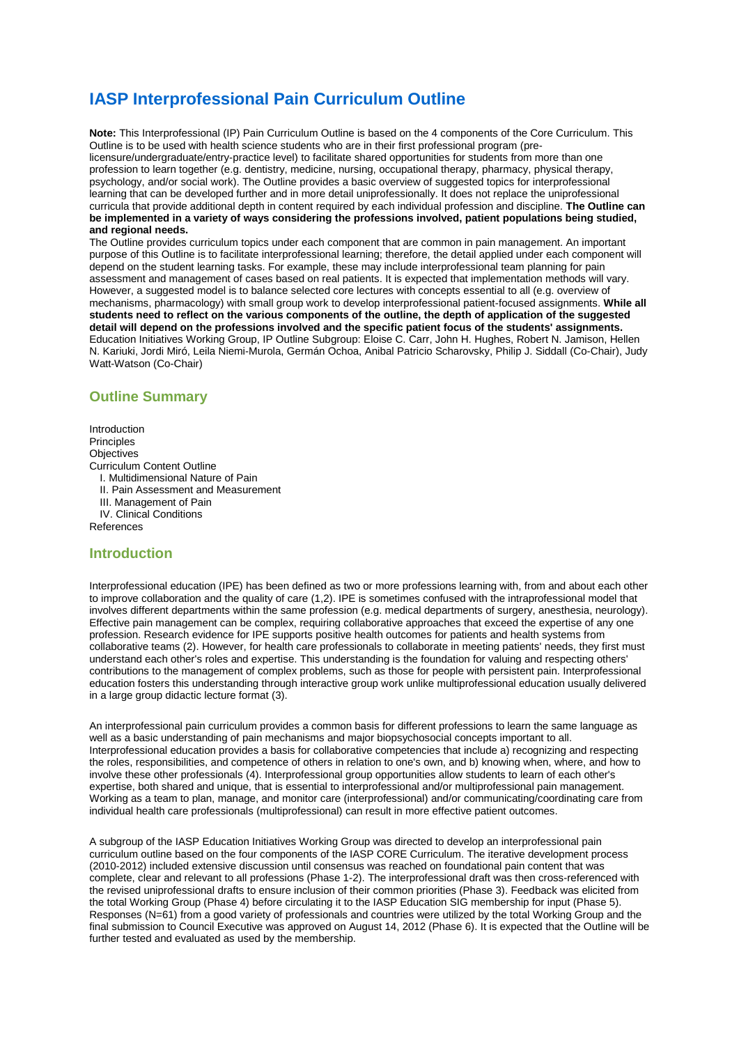# **IASP Interprofessional Pain Curriculum Outline**

**Note:** This Interprofessional (IP) Pain Curriculum Outline is based on the 4 components of the Core Curriculum. This Outline is to be used with health science students who are in their first professional program (prelicensure/undergraduate/entry-practice level) to facilitate shared opportunities for students from more than one profession to learn together (e.g. dentistry, medicine, nursing, occupational therapy, pharmacy, physical therapy, psychology, and/or social work). The Outline provides a basic overview of suggested topics for interprofessional learning that can be developed further and in more detail uniprofessionally. It does not replace the uniprofessional curricula that provide additional depth in content required by each individual profession and discipline. **The Outline can be implemented in a variety of ways considering the professions involved, patient populations being studied, and regional needs.**

The Outline provides curriculum topics under each component that are common in pain management. An important purpose of this Outline is to facilitate interprofessional learning; therefore, the detail applied under each component will depend on the student learning tasks. For example, these may include interprofessional team planning for pain assessment and management of cases based on real patients. It is expected that implementation methods will vary. However, a suggested model is to balance selected core lectures with concepts essential to all (e.g. overview of mechanisms, pharmacology) with small group work to develop interprofessional patient-focused assignments. **While all students need to reflect on the various components of the outline, the depth of application of the suggested detail will depend on the professions involved and the specific patient focus of the students' assignments.** Education Initiatives Working Group, IP Outline Subgroup: Eloise C. Carr, John H. Hughes, Robert N. Jamison, Hellen N. Kariuki, Jordi Miró, Leila Niemi-Murola, Germán Ochoa, Anibal Patricio Scharovsky, Philip J. Siddall (Co-Chair), Judy Watt-Watson (Co-Chair)

## **Outline Summary**

Introduction Principles **Objectives** Curriculum Content Outline I. Multidimensional Nature of Pain II. Pain Assessment and Measurement III. Management of Pain IV. Clinical Conditions

References

### **Introduction**

Interprofessional education (IPE) has been defined as two or more professions learning with, from and about each other to improve collaboration and the quality of care (1,2). IPE is sometimes confused with the intraprofessional model that involves different departments within the same profession (e.g. medical departments of surgery, anesthesia, neurology). Effective pain management can be complex, requiring collaborative approaches that exceed the expertise of any one profession. Research evidence for IPE supports positive health outcomes for patients and health systems from collaborative teams (2). However, for health care professionals to collaborate in meeting patients' needs, they first must understand each other's roles and expertise. This understanding is the foundation for valuing and respecting others' contributions to the management of complex problems, such as those for people with persistent pain. Interprofessional education fosters this understanding through interactive group work unlike multiprofessional education usually delivered in a large group didactic lecture format (3).

An interprofessional pain curriculum provides a common basis for different professions to learn the same language as well as a basic understanding of pain mechanisms and major biopsychosocial concepts important to all. Interprofessional education provides a basis for collaborative competencies that include a) recognizing and respecting the roles, responsibilities, and competence of others in relation to one's own, and b) knowing when, where, and how to involve these other professionals (4). Interprofessional group opportunities allow students to learn of each other's expertise, both shared and unique, that is essential to interprofessional and/or multiprofessional pain management. Working as a team to plan, manage, and monitor care (interprofessional) and/or communicating/coordinating care from individual health care professionals (multiprofessional) can result in more effective patient outcomes.

A subgroup of the IASP Education Initiatives Working Group was directed to develop an interprofessional pain curriculum outline based on the four components of the IASP CORE Curriculum. The iterative development process (2010-2012) included extensive discussion until consensus was reached on foundational pain content that was complete, clear and relevant to all professions (Phase 1-2). The interprofessional draft was then cross-referenced with the revised uniprofessional drafts to ensure inclusion of their common priorities (Phase 3). Feedback was elicited from the total Working Group (Phase 4) before circulating it to the IASP Education SIG membership for input (Phase 5). Responses (N=61) from a good variety of professionals and countries were utilized by the total Working Group and the final submission to Council Executive was approved on August 14, 2012 (Phase 6). It is expected that the Outline will be further tested and evaluated as used by the membership.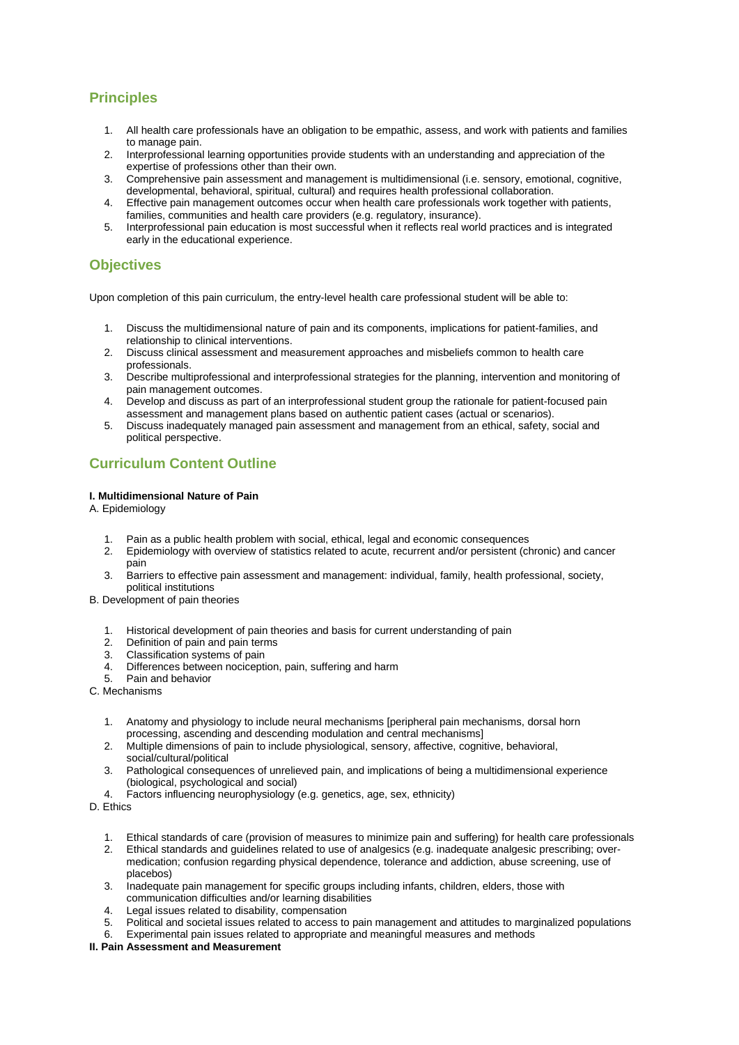# **Principles**

- 1. All health care professionals have an obligation to be empathic, assess, and work with patients and families to manage pain.
- 2. Interprofessional learning opportunities provide students with an understanding and appreciation of the expertise of professions other than their own.
- 3. Comprehensive pain assessment and management is multidimensional (i.e. sensory, emotional, cognitive, developmental, behavioral, spiritual, cultural) and requires health professional collaboration.
- 4. Effective pain management outcomes occur when health care professionals work together with patients, families, communities and health care providers (e.g. regulatory, insurance).
- 5. Interprofessional pain education is most successful when it reflects real world practices and is integrated early in the educational experience.

# **Objectives**

Upon completion of this pain curriculum, the entry-level health care professional student will be able to:

- 1. Discuss the multidimensional nature of pain and its components, implications for patient-families, and relationship to clinical interventions.
- 2. Discuss clinical assessment and measurement approaches and misbeliefs common to health care professionals.
- 3. Describe multiprofessional and interprofessional strategies for the planning, intervention and monitoring of pain management outcomes.
- 4. Develop and discuss as part of an interprofessional student group the rationale for patient-focused pain assessment and management plans based on authentic patient cases (actual or scenarios).
- 5. Discuss inadequately managed pain assessment and management from an ethical, safety, social and political perspective.

# **Curriculum Content Outline**

### **I. Multidimensional Nature of Pain**

A. Epidemiology

- 1. Pain as a public health problem with social, ethical, legal and economic consequences<br>2. Foidemiology with overview of statistics related to acute, recurrent and/or persistent (ch
- 2. Epidemiology with overview of statistics related to acute, recurrent and/or persistent (chronic) and cancer pain
- 3. Barriers to effective pain assessment and management: individual, family, health professional, society, political institutions
- B. Development of pain theories
	- 1. Historical development of pain theories and basis for current understanding of pain
	- 2. Definition of pain and pain terms
	- 3. Classification systems of pain
	- 4. Differences between nociception, pain, suffering and harm
	- 5. Pain and behavior
- C. Mechanisms
	- 1. Anatomy and physiology to include neural mechanisms [peripheral pain mechanisms, dorsal horn processing, ascending and descending modulation and central mechanisms]
	- 2. Multiple dimensions of pain to include physiological, sensory, affective, cognitive, behavioral, social/cultural/political
	- 3. Pathological consequences of unrelieved pain, and implications of being a multidimensional experience (biological, psychological and social)
	- 4. Factors influencing neurophysiology (e.g. genetics, age, sex, ethnicity)
- D. Ethics
	- 1. Ethical standards of care (provision of measures to minimize pain and suffering) for health care professionals
	- 2. Ethical standards and guidelines related to use of analgesics (e.g. inadequate analgesic prescribing; overmedication; confusion regarding physical dependence, tolerance and addiction, abuse screening, use of placebos)
	- 3. Inadequate pain management for specific groups including infants, children, elders, those with communication difficulties and/or learning disabilities
	- 4. Legal issues related to disability, compensation<br>5. Political and societal issues related to access to
	- 5. Political and societal issues related to access to pain management and attitudes to marginalized populations<br>6. Experimental pain issues related to appropriate and meaningful measures and methods
	- Experimental pain issues related to appropriate and meaningful measures and methods

### **II. Pain Assessment and Measurement**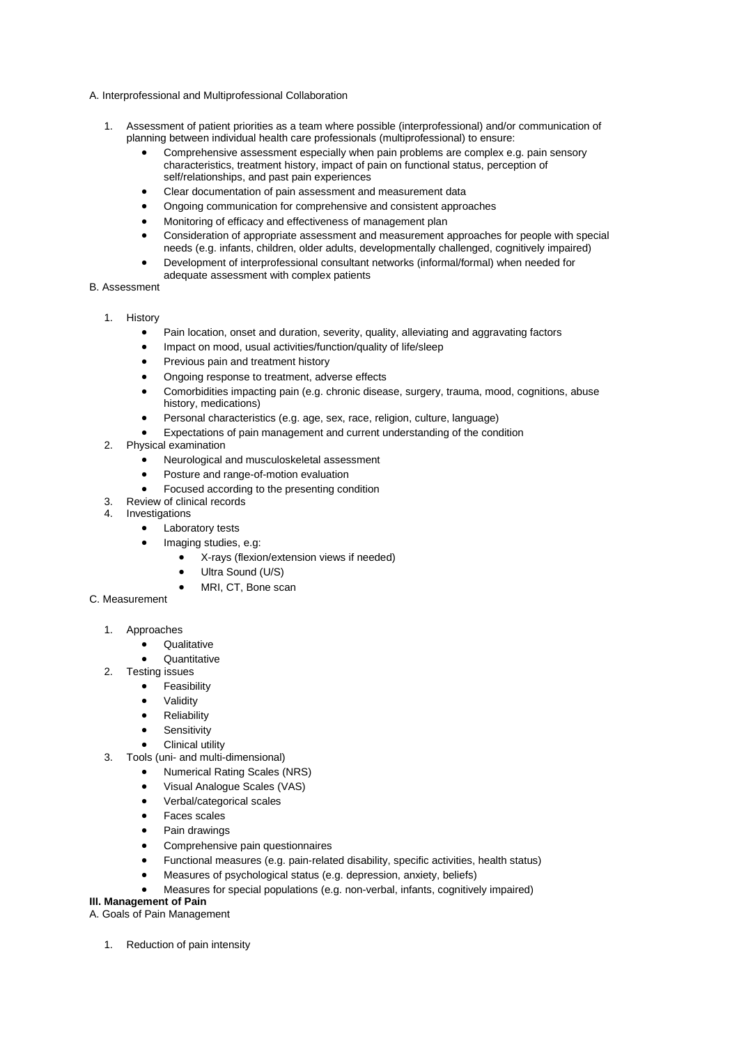- A. Interprofessional and Multiprofessional Collaboration
	- 1. Assessment of patient priorities as a team where possible (interprofessional) and/or communication of planning between individual health care professionals (multiprofessional) to ensure:
		- Comprehensive assessment especially when pain problems are complex e.g. pain sensory characteristics, treatment history, impact of pain on functional status, perception of self/relationships, and past pain experiences
		- Clear documentation of pain assessment and measurement data
		- Ongoing communication for comprehensive and consistent approaches
		- Monitoring of efficacy and effectiveness of management plan
		- Consideration of appropriate assessment and measurement approaches for people with special needs (e.g. infants, children, older adults, developmentally challenged, cognitively impaired)
		- Development of interprofessional consultant networks (informal/formal) when needed for adequate assessment with complex patients
- B. Assessment
	- 1. History
		- Pain location, onset and duration, severity, quality, alleviating and aggravating factors
		- Impact on mood, usual activities/function/quality of life/sleep
		- Previous pain and treatment history
		- Ongoing response to treatment, adverse effects
		- Comorbidities impacting pain (e.g. chronic disease, surgery, trauma, mood, cognitions, abuse history, medications)
		- Personal characteristics (e.g. age, sex, race, religion, culture, language)
		- Expectations of pain management and current understanding of the condition
	- 2. Physical examination
		- Neurological and musculoskeletal assessment
		- Posture and range-of-motion evaluation
		- Focused according to the presenting condition
	- 3. Review of clinical records
	- 4. Investigations
		- Laboratory tests
		- Imaging studies, e.g:
			- X-rays (flexion/extension views if needed)
			- Ultra Sound (U/S)
			- MRI, CT, Bone scan
- C. Measurement
	- 1. Approaches
		- Qualitative
		- Quantitative
	- 2. Testing issues
		- Feasibility
		- **Validity**
		- **Reliability**
		- **Sensitivity**
		- Clinical utility
	- 3. Tools (uni- and multi-dimensional)
		- Numerical Rating Scales (NRS)
		- Visual Analogue Scales (VAS)
		- Verbal/categorical scales
		- Faces scales
		- Pain drawings
		- Comprehensive pain questionnaires
		- Functional measures (e.g. pain-related disability, specific activities, health status)
		- Measures of psychological status (e.g. depression, anxiety, beliefs)
		- Measures for special populations (e.g. non-verbal, infants, cognitively impaired)

### **III. Management of Pain**

A. Goals of Pain Management

1. Reduction of pain intensity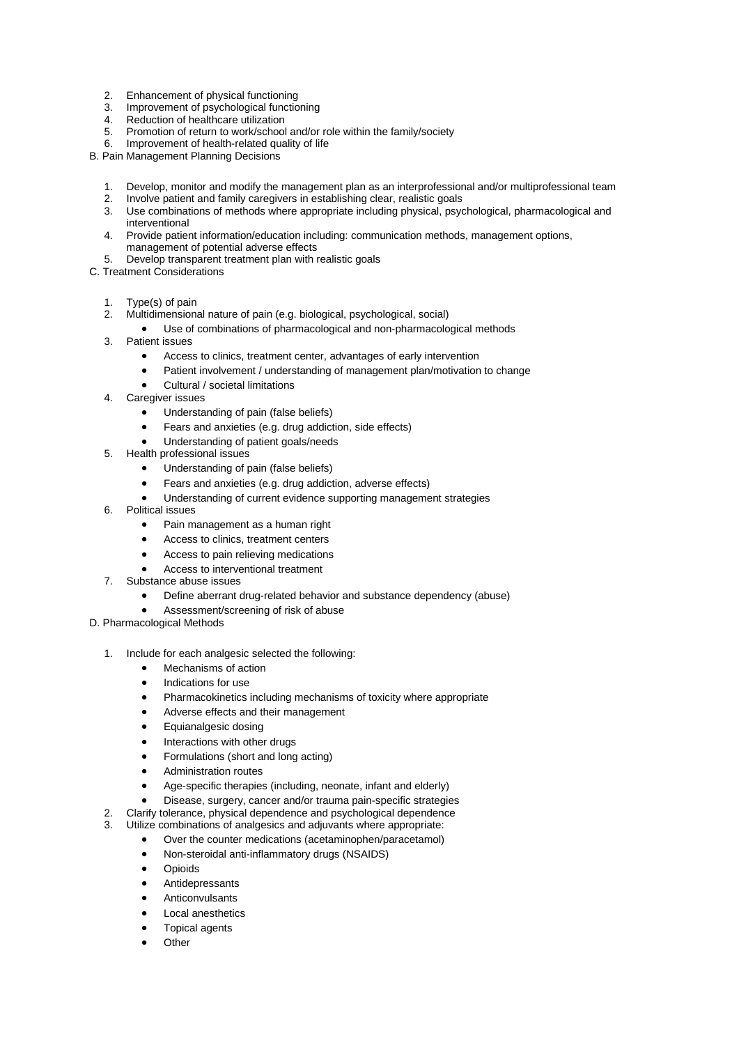- 2. Enhancement of physical functioning<br>3. Improvement of psychological function
- Improvement of psychological functioning
- 4. Reduction of healthcare utilization<br>5. Promotion of return to work/school
- 5. Promotion of return to work/school and/or role within the family/society
- 6. Improvement of health-related quality of life

B. Pain Management Planning Decisions

- 1. Develop, monitor and modify the management plan as an interprofessional and/or multiprofessional team<br>2. Involve patient and family caregivers in establishing clear, realistic goals
- Involve patient and family caregivers in establishing clear, realistic goals
- 3. Use combinations of methods where appropriate including physical, psychological, pharmacological and interventional
- 4. Provide patient information/education including: communication methods, management options, management of potential adverse effects
- 5. Develop transparent treatment plan with realistic goals
- C. Treatment Considerations
	- 1. Type(s) of pain
	- 2. Multidimensional nature of pain (e.g. biological, psychological, social)
		- Use of combinations of pharmacological and non-pharmacological methods
	- 3. Patient issues
		- Access to clinics, treatment center, advantages of early intervention
		- Patient involvement / understanding of management plan/motivation to change
		- Cultural / societal limitations
	- 4. Caregiver issues
		- Understanding of pain (false beliefs)
		- Fears and anxieties (e.g. drug addiction, side effects)
		- Understanding of patient goals/needs
	- 5. Health professional issues
		- Understanding of pain (false beliefs)
		- Fears and anxieties (e.g. drug addiction, adverse effects)
		- Understanding of current evidence supporting management strategies
	- 6. Political issues
		- Pain management as a human right
		- Access to clinics, treatment centers
		- Access to pain relieving medications
		- Access to interventional treatment
	- 7. Substance abuse issues
		- Define aberrant drug-related behavior and substance dependency (abuse)
		- Assessment/screening of risk of abuse
- D. Pharmacological Methods
	- 1. Include for each analgesic selected the following:
		- Mechanisms of action
		- Indications for use
		- Pharmacokinetics including mechanisms of toxicity where appropriate
		- Adverse effects and their management
		- Equianalgesic dosing
		- Interactions with other drugs
		- Formulations (short and long acting)
		- Administration routes
		- Age-specific therapies (including, neonate, infant and elderly)
		- Disease, surgery, cancer and/or trauma pain-specific strategies
	- 2. Clarify tolerance, physical dependence and psychological dependence<br>2. Litilize combinations of analogsics and adjuvants where appropriate:
	- Utilize combinations of analgesics and adjuvants where appropriate:
		- Over the counter medications (acetaminophen/paracetamol)
		- Non-steroidal anti-inflammatory drugs (NSAIDS)
		- **Opioids**
		- **Antidepressants**
		- **Anticonvulsants**
		- Local anesthetics
		- Topical agents
		- **Other**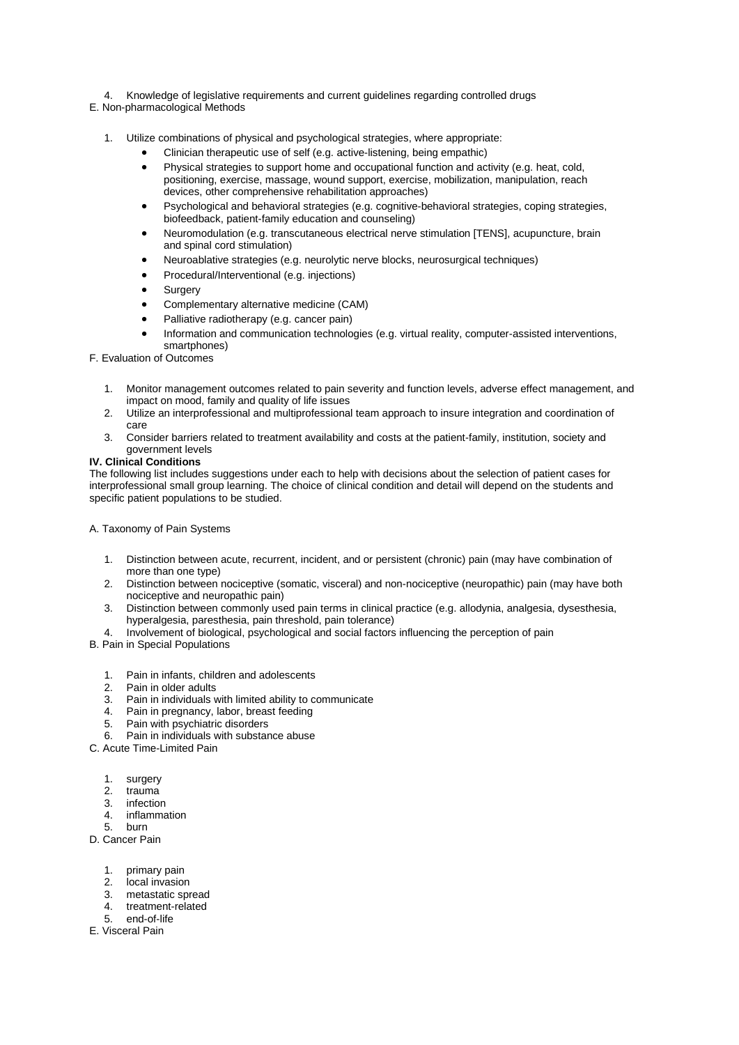- 4. Knowledge of legislative requirements and current guidelines regarding controlled drugs
- E. Non-pharmacological Methods
	- 1. Utilize combinations of physical and psychological strategies, where appropriate:
		- Clinician therapeutic use of self (e.g. active-listening, being empathic)
		- Physical strategies to support home and occupational function and activity (e.g. heat, cold, positioning, exercise, massage, wound support, exercise, mobilization, manipulation, reach devices, other comprehensive rehabilitation approaches)
		- Psychological and behavioral strategies (e.g. cognitive-behavioral strategies, coping strategies, biofeedback, patient-family education and counseling)
		- Neuromodulation (e.g. transcutaneous electrical nerve stimulation [TENS], acupuncture, brain and spinal cord stimulation)
		- Neuroablative strategies (e.g. neurolytic nerve blocks, neurosurgical techniques)
		- Procedural/Interventional (e.g. injections)
		- **Surgery**
		- Complementary alternative medicine (CAM)
		- Palliative radiotherapy (e.g. cancer pain)
		- Information and communication technologies (e.g. virtual reality, computer-assisted interventions, smartphones)
- F. Evaluation of Outcomes
	- 1. Monitor management outcomes related to pain severity and function levels, adverse effect management, and impact on mood, family and quality of life issues
	- 2. Utilize an interprofessional and multiprofessional team approach to insure integration and coordination of care
	- 3. Consider barriers related to treatment availability and costs at the patient-family, institution, society and government levels

### **IV. Clinical Conditions**

The following list includes suggestions under each to help with decisions about the selection of patient cases for interprofessional small group learning. The choice of clinical condition and detail will depend on the students and specific patient populations to be studied.

A. Taxonomy of Pain Systems

- 1. Distinction between acute, recurrent, incident, and or persistent (chronic) pain (may have combination of more than one type)
- 2. Distinction between nociceptive (somatic, visceral) and non-nociceptive (neuropathic) pain (may have both nociceptive and neuropathic pain)
- 3. Distinction between commonly used pain terms in clinical practice (e.g. allodynia, analgesia, dysesthesia, hyperalgesia, paresthesia, pain threshold, pain tolerance)
- 4. Involvement of biological, psychological and social factors influencing the perception of pain
- B. Pain in Special Populations
	- 1. Pain in infants, children and adolescents
	- 2. Pain in older adults
	- 3. Pain in individuals with limited ability to communicate
	- 4. Pain in pregnancy, labor, breast feeding<br>5. Pain with psychiatric disorders
	- 5. Pain with psychiatric disorders
	- 6. Pain in individuals with substance abuse
- C. Acute Time-Limited Pain
	- 1. surgery
	- 2. trauma
	- 3. infection
	- 4. inflammation
	- 5. burn

D. Cancer Pain

- 1. primary pain
- 2. local invasion
- 
- 3. metastatic spread<br>4. treatment-related 4. treatment-related<br>5. end-of-life
- 5. end-of-life
- E. Visceral Pain